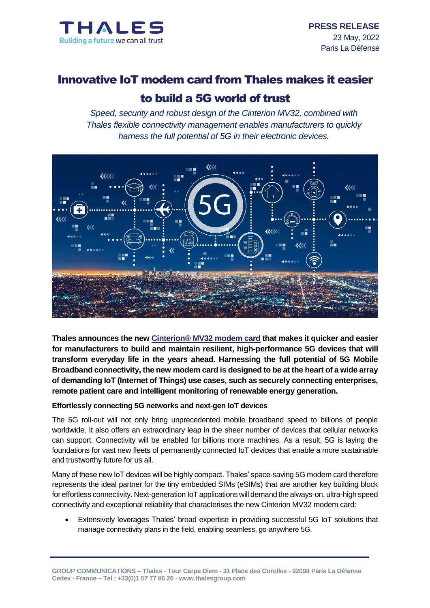

# Innovative IoT modem card from Thales makes it easier

# to build a 5G world of trust

*Speed, security and robust design of the Cinterion MV32, combined with Thales flexible connectivity management enables manufacturers to quickly harness the full potential of 5G in their electronic devices.*



**Thales announces the new Cinterion® [MV32 modem card](https://www.thalesgroup.com/en/markets/digital-identity-and-security/iot/iot-connectivity/products/iot-products/mv32-modem-card) that makes it quicker and easier for manufacturers to build and maintain resilient, high-performance 5G devices that will transform everyday life in the years ahead. Harnessing the full potential of 5G Mobile Broadband connectivity, the new modem card is designed to be at the heart of a wide array of demanding IoT (Internet of Things) use cases, such as securely connecting enterprises, remote patient care and intelligent monitoring of renewable energy generation.**

### **Effortlessly connecting 5G networks and next-gen IoT devices**

The 5G roll-out will not only bring unprecedented mobile broadband speed to billions of people worldwide. It also offers an extraordinary leap in the sheer number of devices that cellular networks can support. Connectivity will be enabled for billions more machines. As a result, 5G is laying the foundations for vast new fleets of permanently connected IoT devices that enable a more sustainable and trustworthy future for us all.

Many of these new IoT devices will be highly compact. Thales' space-saving 5G modem card therefore represents the ideal partner for the tiny embedded SIMs (eSIMs) that are another key building block for effortless connectivity. Next-generation IoT applications will demand the always-on, ultra-high speed connectivity and exceptional reliability that characterises the new Cinterion MV32 modem card:

 Extensively leverages Thales' broad expertise in providing successful 5G IoT solutions that manage connectivity plans in the field, enabling seamless, go-anywhere 5G.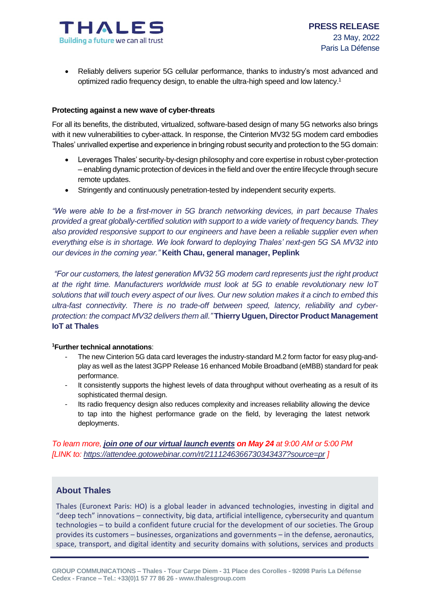

 Reliably delivers superior 5G cellular performance, thanks to industry's most advanced and optimized radio frequency design, to enable the ultra-high speed and low latency. 1

#### **Protecting against a new wave of cyber-threats**

For all its benefits, the distributed, virtualized, software-based design of many 5G networks also brings with it new vulnerabilities to cyber-attack. In response, the Cinterion MV32 5G modem card embodies Thales' unrivalled expertise and experience in bringing robust security and protection to the 5G domain:

- Leverages Thales' security-by-design philosophy and core expertise in robust cyber-protection – enabling dynamic protection of devices in the field and over the entire lifecycle through secure remote updates.
- Stringently and continuously penetration-tested by independent security experts.

*"We were able to be a first-mover in 5G branch networking devices, in part because Thales provided a great globally-certified solution with support to a wide variety of frequency bands. They also provided responsive support to our engineers and have been a reliable supplier even when everything else is in shortage. We look forward to deploying Thales' next-gen 5G SA MV32 into our devices in the coming year."* **Keith Chau, general manager, Peplink**

*"For our customers, the latest generation MV32 5G modem card represents just the right product at the right time. Manufacturers worldwide must look at 5G to enable revolutionary new IoT solutions that will touch every aspect of our lives. Our new solution makes it a cinch to embed this ultra-fast connectivity. There is no trade-off between speed, latency, reliability and cyberprotection: the compact MV32 delivers them all."* **Thierry Uguen, Director Product Management IoT at Thales** 

#### **<sup>1</sup>Further technical annotations**:

- The new Cinterion 5G data card leverages the industry-standard M.2 form factor for easy plug-andplay as well as the latest 3GPP Release 16 enhanced Mobile Broadband (eMBB) standard for peak performance.
- It consistently supports the highest levels of data throughput without overheating as a result of its sophisticated thermal design.
- Its radio frequency design also reduces complexity and increases reliability allowing the device to tap into the highest performance grade on the field, by leveraging the latest network deployments.

*To learn more, [join one of our virtual launch events](https://attendee.gotowebinar.com/rt/2111246366730343437?source=pr) on May 24 at 9:00 AM or 5:00 PM [LINK to:<https://attendee.gotowebinar.com/rt/2111246366730343437?source=pr> ]*

## **About Thales**

Thales (Euronext Paris: HO) is a global leader in advanced technologies, investing in digital and "deep tech" innovations – connectivity, big data, artificial intelligence, cybersecurity and quantum technologies – to build a confident future crucial for the development of our societies. The Group provides its customers – businesses, organizations and governments – in the defense, aeronautics, space, transport, and digital identity and security domains with solutions, services and products